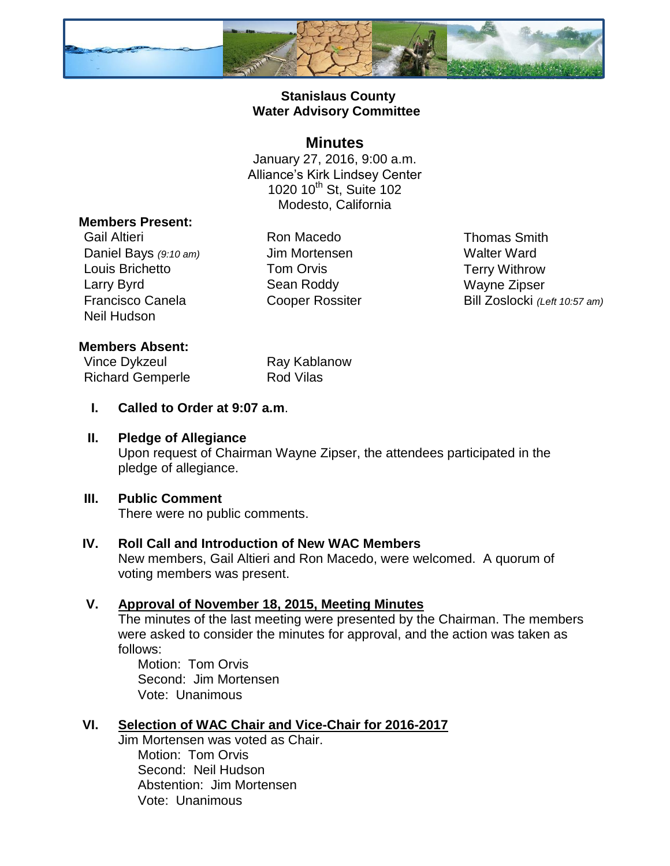

## **Stanislaus County Water Advisory Committee**

#### **Minutes**

January 27, 2016, 9:00 a.m. Alliance's Kirk Lindsey Center 1020 10<sup>th</sup> St, Suite 102 Modesto, California

## **Members Present:**

Gail Altieri **Ron Macedo Ron Macedo** Thomas Smith Daniel Bays (9:10 am) **Jim Mortensen** Walter Ward Louis Brichetto **Tom Orvis** Terry Withrow Larry Byrd **Sean Roddy** Wayne Zipser Neil Hudson

Francisco Canela Cooper Rossiter Bill Zoslocki *(Left 10:57 am)*

## **Members Absent:**

Vince Dykzeul Ray Kablanow Richard Gemperle Rod Vilas

**I. Called to Order at 9:07 a.m**.

# **II. Pledge of Allegiance**

Upon request of Chairman Wayne Zipser, the attendees participated in the pledge of allegiance.

# **III. Public Comment**

There were no public comments.

#### **IV. Roll Call and Introduction of New WAC Members**

New members, Gail Altieri and Ron Macedo, were welcomed. A quorum of voting members was present.

# **V. Approval of November 18, 2015, Meeting Minutes**

The minutes of the last meeting were presented by the Chairman. The members were asked to consider the minutes for approval, and the action was taken as follows:

Motion: Tom Orvis Second: Jim Mortensen Vote: Unanimous

# **VI. Selection of WAC Chair and Vice-Chair for 2016-2017**

Jim Mortensen was voted as Chair. Motion: Tom Orvis Second: Neil Hudson Abstention: Jim Mortensen Vote: Unanimous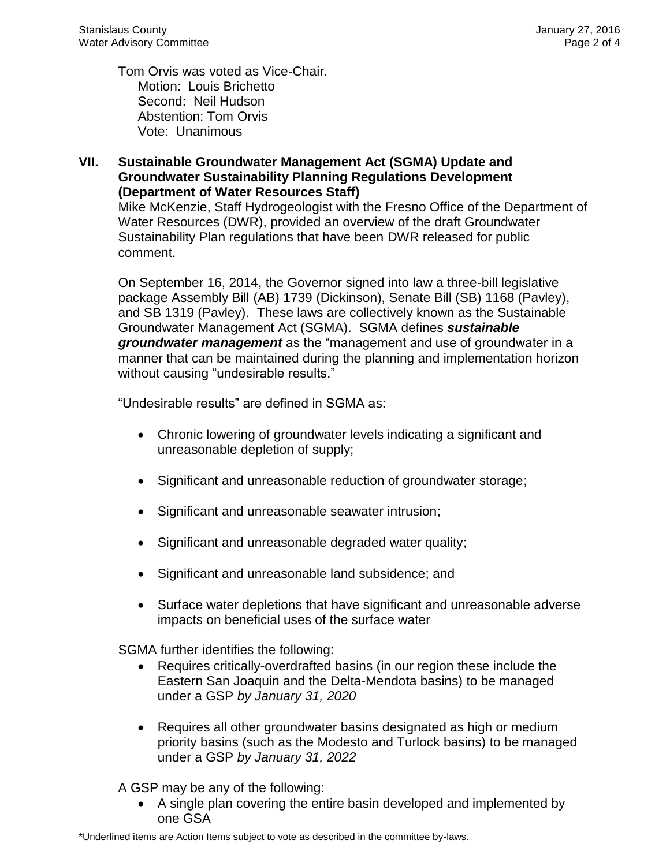Tom Orvis was voted as Vice-Chair. Motion: Louis Brichetto Second: Neil Hudson Abstention: Tom Orvis Vote: Unanimous

#### **VII. Sustainable Groundwater Management Act (SGMA) Update and Groundwater Sustainability Planning Regulations Development (Department of Water Resources Staff)**

Mike McKenzie, Staff Hydrogeologist with the Fresno Office of the Department of Water Resources (DWR), provided an overview of the draft Groundwater Sustainability Plan regulations that have been DWR released for public comment.

On September 16, 2014, the Governor signed into law a three-bill legislative package Assembly Bill (AB) 1739 (Dickinson), Senate Bill (SB) 1168 (Pavley), and SB 1319 (Pavley). These laws are collectively known as the Sustainable Groundwater Management Act (SGMA). SGMA defines *sustainable groundwater management* as the "management and use of groundwater in a manner that can be maintained during the planning and implementation horizon without causing "undesirable results."

"Undesirable results" are defined in SGMA as:

- Chronic lowering of groundwater levels indicating a significant and unreasonable depletion of supply;
- Significant and unreasonable reduction of groundwater storage;
- Significant and unreasonable seawater intrusion;
- Significant and unreasonable degraded water quality;
- Significant and unreasonable land subsidence; and
- Surface water depletions that have significant and unreasonable adverse impacts on beneficial uses of the surface water

SGMA further identifies the following:

- Requires critically-overdrafted basins (in our region these include the Eastern San Joaquin and the Delta-Mendota basins) to be managed under a GSP *by January 31, 2020*
- Requires all other groundwater basins designated as high or medium priority basins (such as the Modesto and Turlock basins) to be managed under a GSP *by January 31, 2022*

A GSP may be any of the following:

 A single plan covering the entire basin developed and implemented by one GSA

\*Underlined items are Action Items subject to vote as described in the committee by-laws.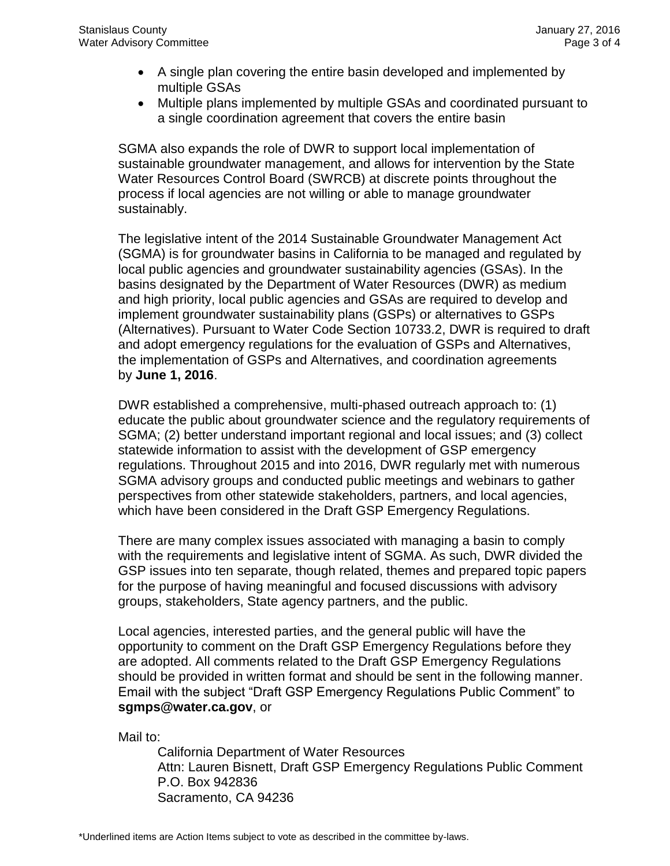- A single plan covering the entire basin developed and implemented by multiple GSAs
- Multiple plans implemented by multiple GSAs and coordinated pursuant to a single coordination agreement that covers the entire basin

SGMA also expands the role of DWR to support local implementation of sustainable groundwater management, and allows for intervention by the State Water Resources Control Board (SWRCB) at discrete points throughout the process if local agencies are not willing or able to manage groundwater sustainably.

The legislative intent of the 2014 Sustainable Groundwater Management Act (SGMA) is for groundwater basins in California to be managed and regulated by local public agencies and groundwater sustainability agencies (GSAs). In the basins designated by the Department of Water Resources (DWR) as medium and high priority, local public agencies and GSAs are required to develop and implement groundwater sustainability plans (GSPs) or alternatives to GSPs (Alternatives). Pursuant to Water Code Section 10733.2, DWR is required to draft and adopt emergency regulations for the evaluation of GSPs and Alternatives, the implementation of GSPs and Alternatives, and coordination agreements by **June 1, 2016**.

DWR established a comprehensive, multi-phased outreach approach to: (1) educate the public about groundwater science and the regulatory requirements of SGMA; (2) better understand important regional and local issues; and (3) collect statewide information to assist with the development of GSP emergency regulations. Throughout 2015 and into 2016, DWR regularly met with numerous SGMA [advisory groups](http://www.water.ca.gov/groundwater/sgm/advisory.cfm) and conducted public meetings and webinars to gather perspectives from other statewide stakeholders, partners, and local agencies, which have been considered in the Draft GSP Emergency Regulations.

There are many complex issues associated with managing a basin to comply with the requirements and legislative intent of SGMA. As such, DWR divided the GSP issues into ten separate, though related, themes and prepared topic papers for the purpose of having meaningful and focused discussions with advisory groups, stakeholders, State agency partners, and the public.

Local agencies, interested parties, and the general public will have the opportunity to comment on the Draft GSP Emergency Regulations before they are adopted. All comments related to the Draft GSP Emergency Regulations should be provided in written format and should be sent in the following manner. Email with the subject "Draft GSP Emergency Regulations Public Comment" to **[sgmps@water.ca.gov](mailto:sgmps@water.ca.gov)**, or

Mail to:

California Department of Water Resources Attn: Lauren Bisnett, Draft GSP Emergency Regulations Public Comment P.O. Box 942836 Sacramento, CA 94236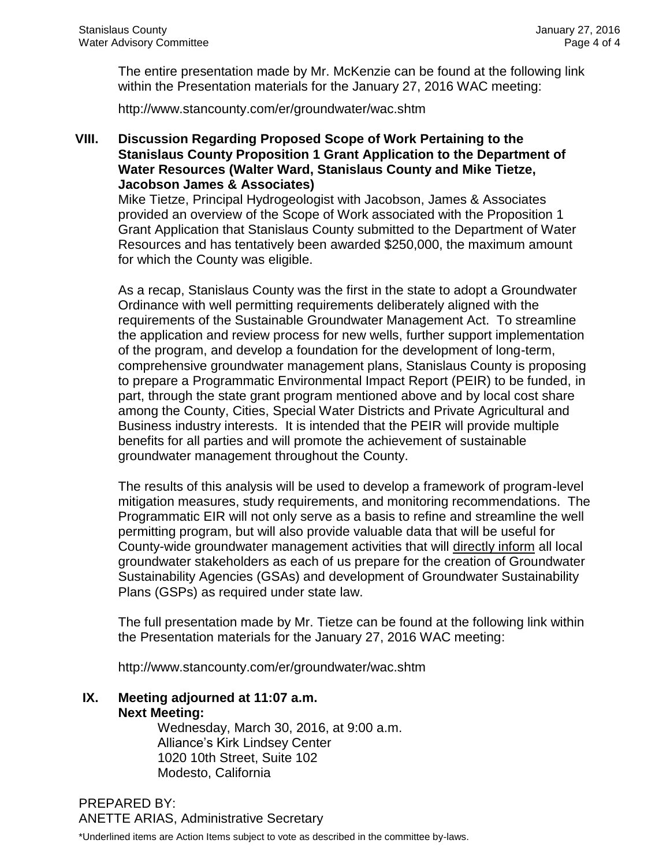The entire presentation made by Mr. McKenzie can be found at the following link within the Presentation materials for the January 27, 2016 WAC meeting:

http://www.stancounty.com/er/groundwater/wac.shtm

#### **VIII. Discussion Regarding Proposed Scope of Work Pertaining to the Stanislaus County Proposition 1 Grant Application to the Department of Water Resources (Walter Ward, Stanislaus County and Mike Tietze, Jacobson James & Associates)**

Mike Tietze, Principal Hydrogeologist with Jacobson, James & Associates provided an overview of the Scope of Work associated with the Proposition 1 Grant Application that Stanislaus County submitted to the Department of Water Resources and has tentatively been awarded \$250,000, the maximum amount for which the County was eligible.

As a recap, Stanislaus County was the first in the state to adopt a Groundwater Ordinance with well permitting requirements deliberately aligned with the requirements of the Sustainable Groundwater Management Act. To streamline the application and review process for new wells, further support implementation of the program, and develop a foundation for the development of long-term, comprehensive groundwater management plans, Stanislaus County is proposing to prepare a Programmatic Environmental Impact Report (PEIR) to be funded, in part, through the state grant program mentioned above and by local cost share among the County, Cities, Special Water Districts and Private Agricultural and Business industry interests. It is intended that the PEIR will provide multiple benefits for all parties and will promote the achievement of sustainable groundwater management throughout the County.

The results of this analysis will be used to develop a framework of program-level mitigation measures, study requirements, and monitoring recommendations. The Programmatic EIR will not only serve as a basis to refine and streamline the well permitting program, but will also provide valuable data that will be useful for County-wide groundwater management activities that will directly inform all local groundwater stakeholders as each of us prepare for the creation of Groundwater Sustainability Agencies (GSAs) and development of Groundwater Sustainability Plans (GSPs) as required under state law.

The full presentation made by Mr. Tietze can be found at the following link within the Presentation materials for the January 27, 2016 WAC meeting:

http://www.stancounty.com/er/groundwater/wac.shtm

**IX. Meeting adjourned at 11:07 a.m. Next Meeting:** 

Wednesday, March 30, 2016, at 9:00 a.m. Alliance's Kirk Lindsey Center 1020 10th Street, Suite 102 Modesto, California

PREPARED BY: ANETTE ARIAS, Administrative Secretary

\*Underlined items are Action Items subject to vote as described in the committee by-laws.